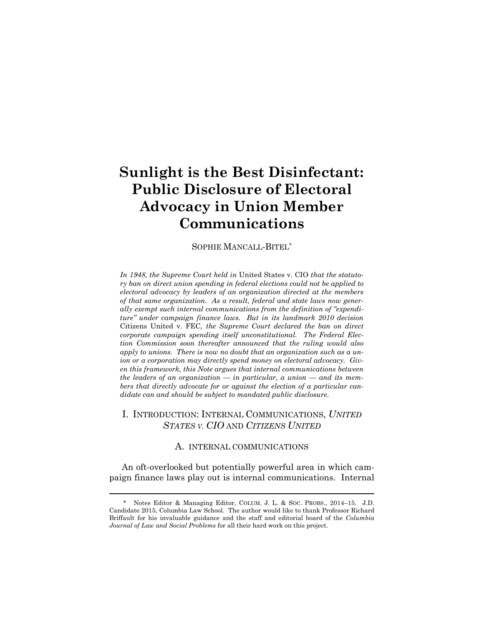# **Sunlight is the Best Disinfectant: Public Disclosure of Electoral Advocacy in Union Member Communications**

SOPHIE MANCALL-BITEL\*

*In 1948, the Supreme Court held in* United States v. CIO *that the statutory ban on direct union spending in federal elections could not be applied to electoral advocacy by leaders of an organization directed at the members of that same organization. As a result, federal and state laws now generally exempt such internal communications from the definition of "expenditure" under campaign finance laws. But in its landmark 2010 decision*  Citizens United v. FEC*, the Supreme Court declared the ban on direct corporate campaign spending itself unconstitutional. The Federal Election Commission soon thereafter announced that the ruling would also apply to unions. There is now no doubt that an organization such as a union or a corporation may directly spend money on electoral advocacy. Given this framework, this Note argues that internal communications between the leaders of an organization — in particular, a union — and its members that directly advocate for or against the election of a particular candidate can and should be subject to mandated public disclosure.* 

# I. INTRODUCTION: INTERNAL COMMUNICATIONS, *UNITED STATES V. CIO* AND *CITIZENS UNITED*

## A. INTERNAL COMMUNICATIONS

An oft-overlooked but potentially powerful area in which campaign finance laws play out is internal communications. Internal

<sup>\*</sup> Notes Editor & Managing Editor, COLUM. J. L. & SOC. PROBS., 2014–15. J.D. Candidate 2015, Columbia Law School. The author would like to thank Professor Richard Briffault for his invaluable guidance and the staff and editorial board of the *Columbia Journal of Law and Social Problems* for all their hard work on this project.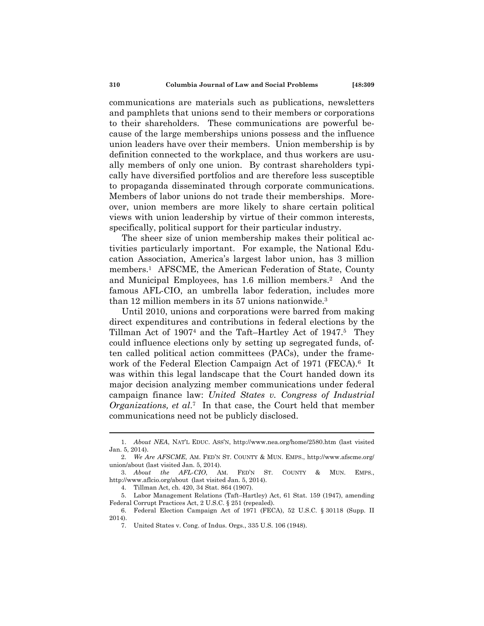communications are materials such as publications, newsletters and pamphlets that unions send to their members or corporations to their shareholders. These communications are powerful because of the large memberships unions possess and the influence union leaders have over their members. Union membership is by definition connected to the workplace, and thus workers are usually members of only one union. By contrast shareholders typically have diversified portfolios and are therefore less susceptible to propaganda disseminated through corporate communications. Members of labor unions do not trade their memberships. Moreover, union members are more likely to share certain political views with union leadership by virtue of their common interests, specifically, political support for their particular industry.

The sheer size of union membership makes their political activities particularly important. For example, the National Education Association, America's largest labor union, has 3 million members.<sup>1</sup> AFSCME, the American Federation of State, County and Municipal Employees, has 1.6 million members.2 And the famous AFL-CIO, an umbrella labor federation, includes more than 12 million members in its 57 unions nationwide.3

Until 2010, unions and corporations were barred from making direct expenditures and contributions in federal elections by the Tillman Act of 19074 and the Taft–Hartley Act of 1947.5 They could influence elections only by setting up segregated funds, often called political action committees (PACs), under the framework of the Federal Election Campaign Act of 1971 (FECA).<sup>6</sup> It was within this legal landscape that the Court handed down its major decision analyzing member communications under federal campaign finance law: *United States v. Congress of Industrial Organizations, et al*.7 In that case, the Court held that member communications need not be publicly disclosed.

4. Tillman Act, ch. 420, 34 Stat. 864 (1907).

<sup>1.</sup> *About NEA*, NAT'L EDUC. ASS'N, http://www.nea.org/home/2580.htm (last visited Jan. 5, 2014).

<sup>2.</sup> *We Are AFSCME*, AM. FED'N ST. COUNTY & MUN. EMPS., http://www.afscme.org/ union/about (last visited Jan. 5, 2014).

<sup>3.</sup> *About the AFL-CIO*, AM. FED'N ST. COUNTY & MUN. EMPS., http://www.aflcio.org/about (last visited Jan. 5, 2014).

 <sup>5.</sup> Labor Management Relations (Taft–Hartley) Act, 61 Stat. 159 (1947), amending Federal Corrupt Practices Act, 2 U.S.C. § 251 (repealed).

 <sup>6.</sup> Federal Election Campaign Act of 1971 (FECA), 52 U.S.C. § 30118 (Supp. II 2014).

 <sup>7.</sup> United States v. Cong. of Indus. Orgs., 335 U.S. 106 (1948).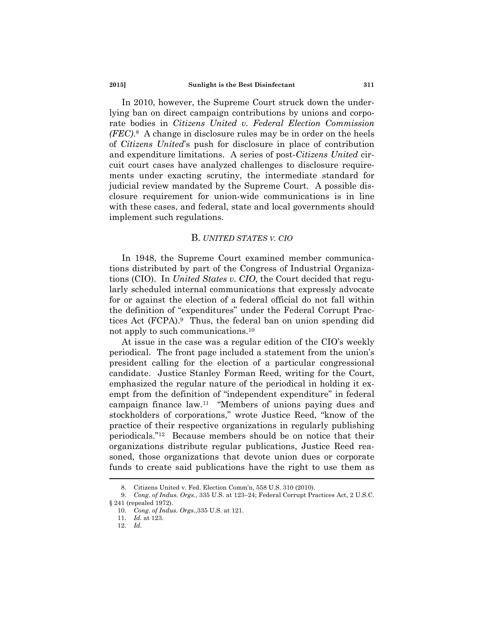In 2010, however, the Supreme Court struck down the underlying ban on direct campaign contributions by unions and corporate bodies in *Citizens United v. Federal Election Commission (FEC)*.8 A change in disclosure rules may be in order on the heels of *Citizens United*'s push for disclosure in place of contribution and expenditure limitations. A series of post-*Citizens United* circuit court cases have analyzed challenges to disclosure requirements under exacting scrutiny, the intermediate standard for judicial review mandated by the Supreme Court. A possible disclosure requirement for union-wide communications is in line with these cases, and federal, state and local governments should implement such regulations.

#### B. *UNITED STATES V. CIO*

In 1948, the Supreme Court examined member communications distributed by part of the Congress of Industrial Organizations (CIO). In *United States v. CIO*, the Court decided that regularly scheduled internal communications that expressly advocate for or against the election of a federal official do not fall within the definition of "expenditures" under the Federal Corrupt Practices Act (FCPA).9 Thus, the federal ban on union spending did not apply to such communications.10

At issue in the case was a regular edition of the CIO's weekly periodical. The front page included a statement from the union's president calling for the election of a particular congressional candidate. Justice Stanley Forman Reed, writing for the Court, emphasized the regular nature of the periodical in holding it exempt from the definition of "independent expenditure" in federal campaign finance law.11 "Members of unions paying dues and stockholders of corporations," wrote Justice Reed, "know of the practice of their respective organizations in regularly publishing periodicals."12 Because members should be on notice that their organizations distribute regular publications, Justice Reed reasoned, those organizations that devote union dues or corporate funds to create said publications have the right to use them as

 <sup>8.</sup> Citizens United v. Fed. Election Comm'n, 558 U.S. 310 (2010).

<sup>9.</sup> *Cong. of Indus. Orgs.*, 335 U.S. at 123–24; Federal Corrupt Practices Act, 2 U.S.C. § 241 (repealed 1972).

<sup>10.</sup> *Cong. of Indus. Orgs.*,335 U.S. at 121.

<sup>11.</sup> *Id.* at 123.

<sup>12.</sup> *Id.*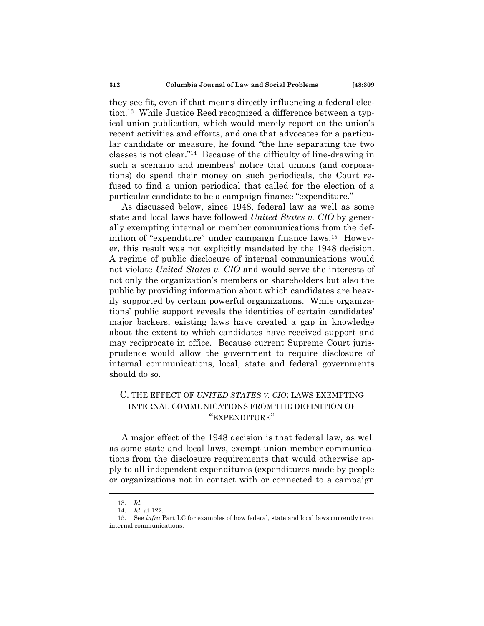they see fit, even if that means directly influencing a federal election.13 While Justice Reed recognized a difference between a typical union publication, which would merely report on the union's recent activities and efforts, and one that advocates for a particular candidate or measure, he found "the line separating the two classes is not clear."14 Because of the difficulty of line-drawing in such a scenario and members' notice that unions (and corporations) do spend their money on such periodicals, the Court refused to find a union periodical that called for the election of a particular candidate to be a campaign finance "expenditure."

As discussed below, since 1948, federal law as well as some state and local laws have followed *United States v. CIO* by generally exempting internal or member communications from the definition of "expenditure" under campaign finance laws.<sup>15</sup> However, this result was not explicitly mandated by the 1948 decision. A regime of public disclosure of internal communications would not violate *United States v. CIO* and would serve the interests of not only the organization's members or shareholders but also the public by providing information about which candidates are heavily supported by certain powerful organizations. While organizations' public support reveals the identities of certain candidates' major backers, existing laws have created a gap in knowledge about the extent to which candidates have received support and may reciprocate in office. Because current Supreme Court jurisprudence would allow the government to require disclosure of internal communications, local, state and federal governments should do so.

# C. THE EFFECT OF *UNITED STATES V. CIO*: LAWS EXEMPTING INTERNAL COMMUNICATIONS FROM THE DEFINITION OF "EXPENDITURE"

A major effect of the 1948 decision is that federal law, as well as some state and local laws, exempt union member communications from the disclosure requirements that would otherwise apply to all independent expenditures (expenditures made by people or organizations not in contact with or connected to a campaign

<sup>13.</sup> *Id.*

<sup>14.</sup> *Id.* at 122.

 <sup>15.</sup> See *infra* Part I.C for examples of how federal, state and local laws currently treat internal communications.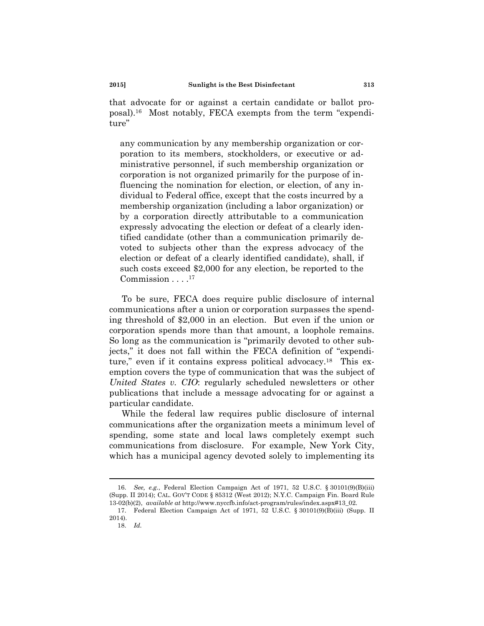that advocate for or against a certain candidate or ballot proposal).16 Most notably, FECA exempts from the term "expenditure"

any communication by any membership organization or corporation to its members, stockholders, or executive or administrative personnel, if such membership organization or corporation is not organized primarily for the purpose of influencing the nomination for election, or election, of any individual to Federal office, except that the costs incurred by a membership organization (including a labor organization) or by a corporation directly attributable to a communication expressly advocating the election or defeat of a clearly identified candidate (other than a communication primarily devoted to subjects other than the express advocacy of the election or defeat of a clearly identified candidate), shall, if such costs exceed \$2,000 for any election, be reported to the Commission  $\dots$ .<sup>17</sup>

To be sure, FECA does require public disclosure of internal communications after a union or corporation surpasses the spending threshold of \$2,000 in an election. But even if the union or corporation spends more than that amount, a loophole remains. So long as the communication is "primarily devoted to other subjects," it does not fall within the FECA definition of "expenditure," even if it contains express political advocacy.18 This exemption covers the type of communication that was the subject of *United States v. CIO*: regularly scheduled newsletters or other publications that include a message advocating for or against a particular candidate.

While the federal law requires public disclosure of internal communications after the organization meets a minimum level of spending, some state and local laws completely exempt such communications from disclosure. For example, New York City, which has a municipal agency devoted solely to implementing its

<sup>16.</sup> *See, e.g.*, Federal Election Campaign Act of 1971, 52 U.S.C. § 30101(9)(B)(iii) (Supp. II 2014); CAL. GOV'T CODE § 85312 (West 2012); N.Y.C. Campaign Fin. Board Rule 13-02(b)(2), *available at* http://www.nyccfb.info/act-program/rules/index.aspx#13\_02.

 <sup>17.</sup> Federal Election Campaign Act of 1971, 52 U.S.C. § 30101(9)(B)(iii) (Supp. II 2014).

<sup>18.</sup> *Id.*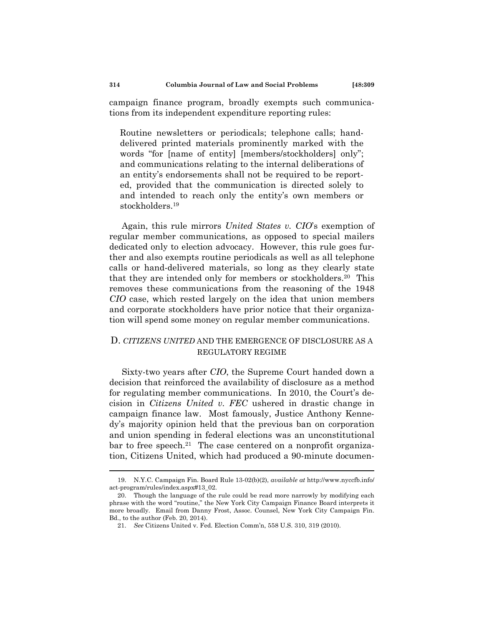campaign finance program, broadly exempts such communications from its independent expenditure reporting rules:

Routine newsletters or periodicals; telephone calls; handdelivered printed materials prominently marked with the words "for [name of entity] [members/stockholders] only"; and communications relating to the internal deliberations of an entity's endorsements shall not be required to be reported, provided that the communication is directed solely to and intended to reach only the entity's own members or stockholders.19

Again, this rule mirrors *United States v. CIO*'s exemption of regular member communications, as opposed to special mailers dedicated only to election advocacy. However, this rule goes further and also exempts routine periodicals as well as all telephone calls or hand-delivered materials, so long as they clearly state that they are intended only for members or stockholders.20 This removes these communications from the reasoning of the 1948 *CIO* case, which rested largely on the idea that union members and corporate stockholders have prior notice that their organization will spend some money on regular member communications.

# D. *CITIZENS UNITED* AND THE EMERGENCE OF DISCLOSURE AS A REGULATORY REGIME

Sixty-two years after *CIO*, the Supreme Court handed down a decision that reinforced the availability of disclosure as a method for regulating member communications. In 2010, the Court's decision in *Citizens United v. FEC* ushered in drastic change in campaign finance law. Most famously, Justice Anthony Kennedy's majority opinion held that the previous ban on corporation and union spending in federal elections was an unconstitutional bar to free speech.<sup>21</sup> The case centered on a nonprofit organization, Citizens United, which had produced a 90-minute documen-

 <sup>19.</sup> N.Y.C. Campaign Fin. Board Rule 13-02(b)(2), *available at* http://www.nyccfb.info/ act-program/rules/index.aspx#13\_02.

 <sup>20.</sup> Though the language of the rule could be read more narrowly by modifying each phrase with the word "routine," the New York City Campaign Finance Board interprets it more broadly. Email from Danny Frost, Assoc. Counsel, New York City Campaign Fin. Bd., to the author (Feb. 20, 2014).

<sup>21.</sup> *See* Citizens United v. Fed. Election Comm'n, 558 U.S. 310, 319 (2010).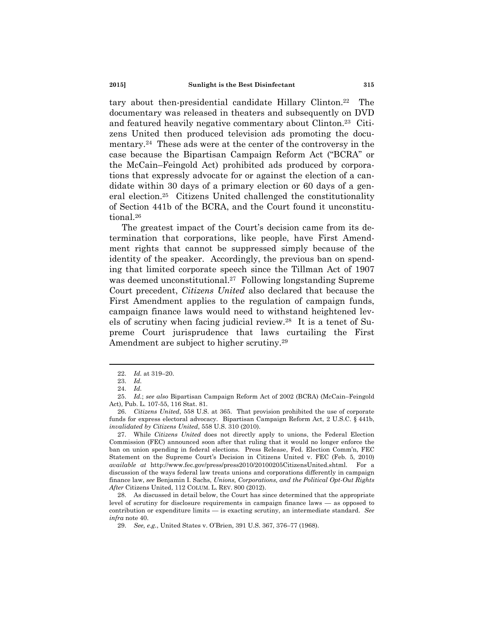tary about then-presidential candidate Hillary Clinton.22 The documentary was released in theaters and subsequently on DVD and featured heavily negative commentary about Clinton.23 Citizens United then produced television ads promoting the documentary.24 These ads were at the center of the controversy in the case because the Bipartisan Campaign Reform Act ("BCRA" or the McCain–Feingold Act) prohibited ads produced by corporations that expressly advocate for or against the election of a candidate within 30 days of a primary election or 60 days of a general election.25 Citizens United challenged the constitutionality of Section 441b of the BCRA, and the Court found it unconstitutional.26

The greatest impact of the Court's decision came from its determination that corporations, like people, have First Amendment rights that cannot be suppressed simply because of the identity of the speaker. Accordingly, the previous ban on spending that limited corporate speech since the Tillman Act of 1907 was deemed unconstitutional.27 Following longstanding Supreme Court precedent, *Citizens United* also declared that because the First Amendment applies to the regulation of campaign funds, campaign finance laws would need to withstand heightened levels of scrutiny when facing judicial review.28 It is a tenet of Supreme Court jurisprudence that laws curtailing the First Amendment are subject to higher scrutiny.29

<sup>22.</sup> *Id.* at 319–20.

<sup>23.</sup> *Id.* 

<sup>24.</sup> *Id.* 

<sup>25.</sup> *Id.*; *see also* Bipartisan Campaign Reform Act of 2002 (BCRA) (McCain–Feingold Act), Pub. L. 107-55, 116 Stat. 81.

<sup>26.</sup> *Citizens United*, 558 U.S. at 365. That provision prohibited the use of corporate funds for express electoral advocacy. Bipartisan Campaign Reform Act, 2 U.S.C. § 441b, *invalidated by Citizens United*, 558 U.S. 310 (2010).

 <sup>27.</sup> While *Citizens United* does not directly apply to unions, the Federal Election Commission (FEC) announced soon after that ruling that it would no longer enforce the ban on union spending in federal elections. Press Release, Fed. Election Comm'n, FEC Statement on the Supreme Court's Decision in Citizens United v. FEC (Feb. 5, 2010) *available at* http://www.fec.gov/press/press2010/20100205CitizensUnited.shtml. For a discussion of the ways federal law treats unions and corporations differently in campaign finance law, *see* Benjamin I. Sachs, *Unions, Corporations, and the Political Opt-Out Rights After* Citizens United, 112 COLUM. L. REV. 800 (2012).

 <sup>28.</sup> As discussed in detail below, the Court has since determined that the appropriate level of scrutiny for disclosure requirements in campaign finance laws — as opposed to contribution or expenditure limits — is exacting scrutiny, an intermediate standard. *See infra* note 40.

<sup>29.</sup> *See, e.g.*, United States v. O'Brien, 391 U.S. 367, 376–77 (1968).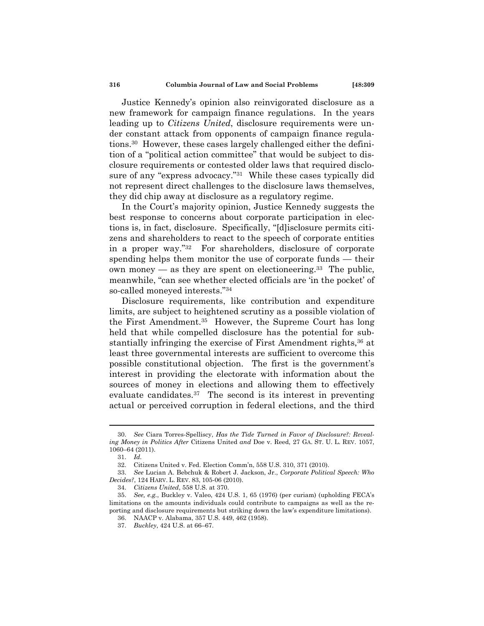Justice Kennedy's opinion also reinvigorated disclosure as a new framework for campaign finance regulations. In the years leading up to *Citizens United*, disclosure requirements were under constant attack from opponents of campaign finance regulations.30 However, these cases largely challenged either the definition of a "political action committee" that would be subject to disclosure requirements or contested older laws that required disclosure of any "express advocacy."<sup>31</sup> While these cases typically did not represent direct challenges to the disclosure laws themselves, they did chip away at disclosure as a regulatory regime.

In the Court's majority opinion, Justice Kennedy suggests the best response to concerns about corporate participation in elections is, in fact, disclosure. Specifically, "[d]isclosure permits citizens and shareholders to react to the speech of corporate entities in a proper way."32 For shareholders, disclosure of corporate spending helps them monitor the use of corporate funds — their own money — as they are spent on electioneering.<sup>33</sup> The public, meanwhile, "can see whether elected officials are 'in the pocket' of so-called moneyed interests."34

Disclosure requirements, like contribution and expenditure limits, are subject to heightened scrutiny as a possible violation of the First Amendment.35 However, the Supreme Court has long held that while compelled disclosure has the potential for substantially infringing the exercise of First Amendment rights,<sup>36</sup> at least three governmental interests are sufficient to overcome this possible constitutional objection. The first is the government's interest in providing the electorate with information about the sources of money in elections and allowing them to effectively evaluate candidates.37 The second is its interest in preventing actual or perceived corruption in federal elections, and the third

<sup>30.</sup> *See* Ciara Torres-Spelliscy, *Has the Tide Turned in Favor of Disclosure?: Revealing Money in Politics After* Citizens United *and* Doe v. Reed, 27 GA. ST. U. L. REV. 1057, 1060–64 (2011).

<sup>31.</sup> *Id.* 

 <sup>32.</sup> Citizens United v. Fed. Election Comm'n, 558 U.S. 310, 371 (2010).

<sup>33.</sup> *See* Lucian A. Bebchuk & Robert J. Jackson, Jr., *Corporate Political Speech: Who Decides?*, 124 HARV. L. REV. 83, 105-06 (2010).

<sup>34.</sup> *Citizens United*, 558 U.S. at 370.

<sup>35.</sup> *See, e.g.*, Buckley v. Valeo, 424 U.S. 1, 65 (1976) (per curiam) (upholding FECA's limitations on the amounts individuals could contribute to campaigns as well as the reporting and disclosure requirements but striking down the law's expenditure limitations).

 <sup>36.</sup> NAACP v. Alabama, 357 U.S. 449, 462 (1958).

<sup>37.</sup> *Buckley*, 424 U.S. at 66–67.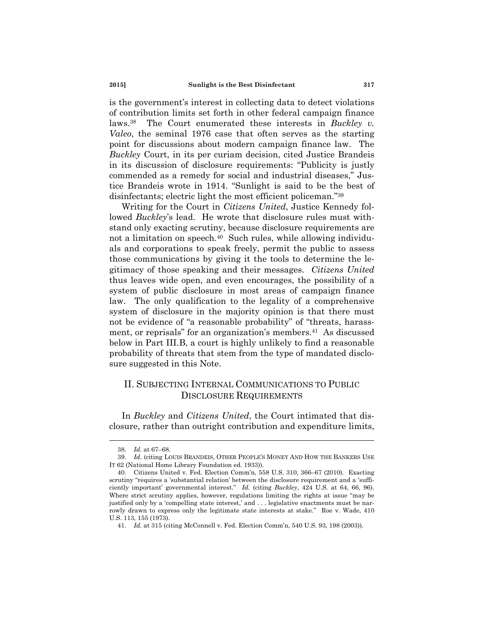is the government's interest in collecting data to detect violations of contribution limits set forth in other federal campaign finance laws.38 The Court enumerated these interests in *Buckley v. Valeo*, the seminal 1976 case that often serves as the starting point for discussions about modern campaign finance law. The *Buckley* Court, in its per curiam decision, cited Justice Brandeis in its discussion of disclosure requirements: "Publicity is justly commended as a remedy for social and industrial diseases," Justice Brandeis wrote in 1914. "Sunlight is said to be the best of disinfectants; electric light the most efficient policeman."39

Writing for the Court in *Citizens United*, Justice Kennedy followed *Buckley*'s lead. He wrote that disclosure rules must withstand only exacting scrutiny, because disclosure requirements are not a limitation on speech.<sup>40</sup> Such rules, while allowing individuals and corporations to speak freely, permit the public to assess those communications by giving it the tools to determine the legitimacy of those speaking and their messages. *Citizens United* thus leaves wide open, and even encourages, the possibility of a system of public disclosure in most areas of campaign finance law. The only qualification to the legality of a comprehensive system of disclosure in the majority opinion is that there must not be evidence of "a reasonable probability" of "threats, harassment, or reprisals" for an organization's members.<sup>41</sup> As discussed below in Part III.B, a court is highly unlikely to find a reasonable probability of threats that stem from the type of mandated disclosure suggested in this Note.

# II. SUBJECTING INTERNAL COMMUNICATIONS TO PUBLIC DISCLOSURE REQUIREMENTS

In *Buckley* and *Citizens United*, the Court intimated that disclosure, rather than outright contribution and expenditure limits,

<sup>38.</sup> *Id.* at 67–68.

<sup>39.</sup> *Id.* (citing LOUIS BRANDEIS, OTHER PEOPLE'S MONEY AND HOW THE BANKERS USE IT 62 (National Home Library Foundation ed. 1933)).

 <sup>40.</sup> Citizens United v. Fed. Election Comm'n, 558 U.S. 310, 366–67 (2010). Exacting scrutiny "requires a 'substantial relation' between the disclosure requirement and a 'sufficiently important' governmental interest." *Id.* (citing *Buckley*, 424 U.S. at 64, 66, 96). Where strict scrutiny applies, however, regulations limiting the rights at issue "may be justified only by a 'compelling state interest,' and . . . legislative enactments must be narrowly drawn to express only the legitimate state interests at stake." Roe v. Wade, 410 U.S. 113, 155 (1973).

<sup>41.</sup> *Id.* at 315 (citing McConnell v. Fed. Election Comm'n, 540 U.S. 93, 198 (2003)).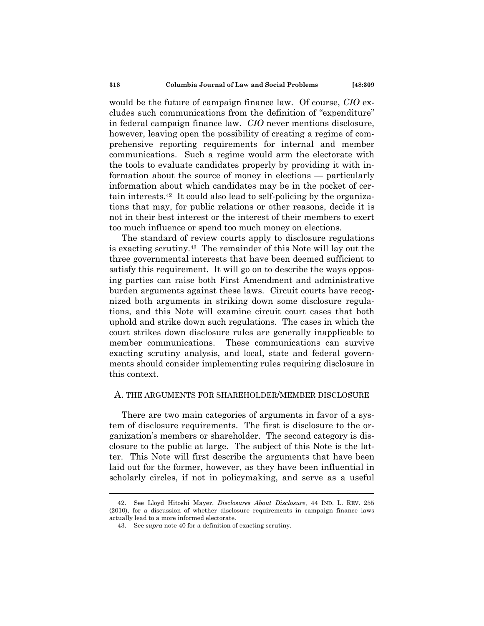would be the future of campaign finance law. Of course, *CIO* excludes such communications from the definition of "expenditure" in federal campaign finance law. *CIO* never mentions disclosure, however, leaving open the possibility of creating a regime of comprehensive reporting requirements for internal and member communications. Such a regime would arm the electorate with the tools to evaluate candidates properly by providing it with information about the source of money in elections — particularly information about which candidates may be in the pocket of certain interests.42 It could also lead to self-policing by the organizations that may, for public relations or other reasons, decide it is not in their best interest or the interest of their members to exert too much influence or spend too much money on elections.

The standard of review courts apply to disclosure regulations is exacting scrutiny.43 The remainder of this Note will lay out the three governmental interests that have been deemed sufficient to satisfy this requirement. It will go on to describe the ways opposing parties can raise both First Amendment and administrative burden arguments against these laws. Circuit courts have recognized both arguments in striking down some disclosure regulations, and this Note will examine circuit court cases that both uphold and strike down such regulations. The cases in which the court strikes down disclosure rules are generally inapplicable to member communications. These communications can survive exacting scrutiny analysis, and local, state and federal governments should consider implementing rules requiring disclosure in this context.

## A. THE ARGUMENTS FOR SHAREHOLDER/MEMBER DISCLOSURE

There are two main categories of arguments in favor of a system of disclosure requirements. The first is disclosure to the organization's members or shareholder. The second category is disclosure to the public at large. The subject of this Note is the latter. This Note will first describe the arguments that have been laid out for the former, however, as they have been influential in scholarly circles, if not in policymaking, and serve as a useful

 <sup>42.</sup> See Lloyd Hitoshi Mayer, *Disclosures About Disclosure*, 44 IND. L. REV. 255 (2010), for a discussion of whether disclosure requirements in campaign finance laws actually lead to a more informed electorate.

 <sup>43.</sup> See *supra* note 40 for a definition of exacting scrutiny.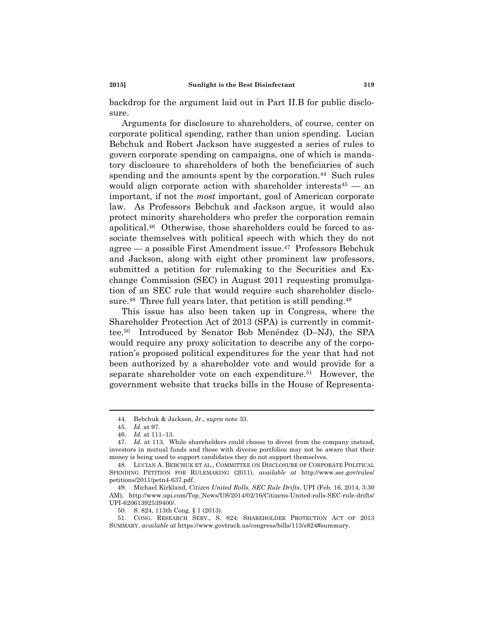backdrop for the argument laid out in Part II.B for public disclosure.

Arguments for disclosure to shareholders, of course, center on corporate political spending, rather than union spending. Lucian Bebchuk and Robert Jackson have suggested a series of rules to govern corporate spending on campaigns, one of which is mandatory disclosure to shareholders of both the beneficiaries of such spending and the amounts spent by the corporation.<sup>44</sup> Such rules would align corporate action with shareholder interests  $45 -$  an important, if not the *most* important, goal of American corporate law. As Professors Bebchuk and Jackson argue, it would also protect minority shareholders who prefer the corporation remain apolitical.46 Otherwise, those shareholders could be forced to associate themselves with political speech with which they do not agree — a possible First Amendment issue.<sup>47</sup> Professors Bebchuk and Jackson, along with eight other prominent law professors, submitted a petition for rulemaking to the Securities and Exchange Commission (SEC) in August 2011 requesting promulgation of an SEC rule that would require such shareholder disclosure.<sup>48</sup> Three full years later, that petition is still pending.<sup>49</sup>

This issue has also been taken up in Congress, where the Shareholder Protection Act of 2013 (SPA) is currently in committee.50 Introduced by Senator Bob Menéndez (D–NJ), the SPA would require any proxy solicitation to describe any of the corporation's proposed political expenditures for the year that had not been authorized by a shareholder vote and would provide for a separate shareholder vote on each expenditure.<sup>51</sup> However, the government website that tracks bills in the House of Representa-

50. S. 824, 113th Cong. § 1 (2013).

 <sup>44.</sup> Bebchuk & Jackson, Jr., *supra* note 33.

<sup>45.</sup> *Id.* at 97.

<sup>46.</sup> *Id.* at 111–13.

<sup>47.</sup> *Id.* at 113.While shareholders could choose to divest from the company instead, investors in mutual funds and those with diverse portfolios may not be aware that their money is being used to support candidates they do not support themselves.

 <sup>48.</sup> LUCIAN A. BEBCHUK ET AL., COMMITTEE ON DISCLOSURE OF CORPORATE POLITICAL SPENDING PETITION FOR RULEMAKING (2011), *available at* http://www.sec.gov/rules/ petitions/2011/petn4-637.pdf.

 <sup>49.</sup> Michael Kirkland, *Citizen United Rolls, SEC Rule Drifts*, UPI (Feb. 16, 2014, 3:30 AM), http://www.upi.com/Top\_News/US/2014/02/16/Citizens-United-rolls-SEC-rule-drifts/ UPI-62061392539400/.

 <sup>51.</sup> CONG. RESEARCH SERV., S. 824: SHAREHOLDER PROTECTION ACT OF 2013 SUMMARY, *available at* https://www.govtrack.us/congress/bills/113/s824#summary.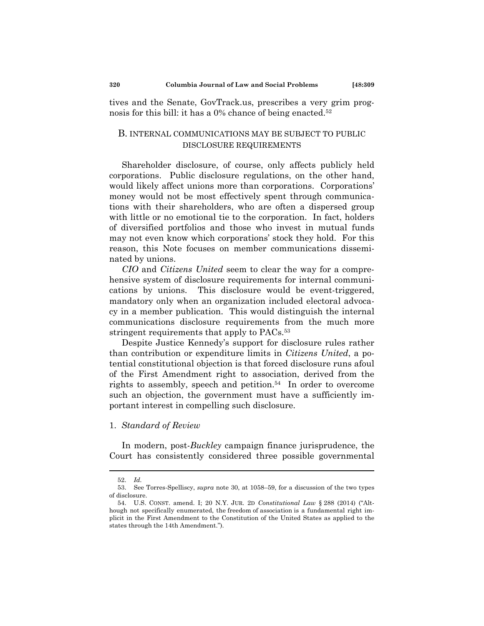tives and the Senate, GovTrack.us, prescribes a very grim prognosis for this bill: it has a 0% chance of being enacted.<sup>52</sup>

## B. INTERNAL COMMUNICATIONS MAY BE SUBJECT TO PUBLIC DISCLOSURE REQUIREMENTS

Shareholder disclosure, of course, only affects publicly held corporations. Public disclosure regulations, on the other hand, would likely affect unions more than corporations. Corporations' money would not be most effectively spent through communications with their shareholders, who are often a dispersed group with little or no emotional tie to the corporation. In fact, holders of diversified portfolios and those who invest in mutual funds may not even know which corporations' stock they hold. For this reason, this Note focuses on member communications disseminated by unions.

*CIO* and *Citizens United* seem to clear the way for a comprehensive system of disclosure requirements for internal communications by unions. This disclosure would be event-triggered, mandatory only when an organization included electoral advocacy in a member publication. This would distinguish the internal communications disclosure requirements from the much more stringent requirements that apply to PACs.<sup>53</sup>

Despite Justice Kennedy's support for disclosure rules rather than contribution or expenditure limits in *Citizens United*, a potential constitutional objection is that forced disclosure runs afoul of the First Amendment right to association, derived from the rights to assembly, speech and petition.54 In order to overcome such an objection, the government must have a sufficiently important interest in compelling such disclosure.

#### 1. *Standard of Review*

In modern, post-*Buckley* campaign finance jurisprudence, the Court has consistently considered three possible governmental

<sup>52.</sup> *Id.* 

 <sup>53.</sup> See Torres-Spelliscy, *supra* note 30, at 1058–59, for a discussion of the two types of disclosure.

 <sup>54.</sup> U.S. CONST. amend. I; 20 N.Y. JUR. 2D *Constitutional Law* § 288 (2014) ("Although not specifically enumerated, the freedom of association is a fundamental right implicit in the First Amendment to the Constitution of the United States as applied to the states through the 14th Amendment.").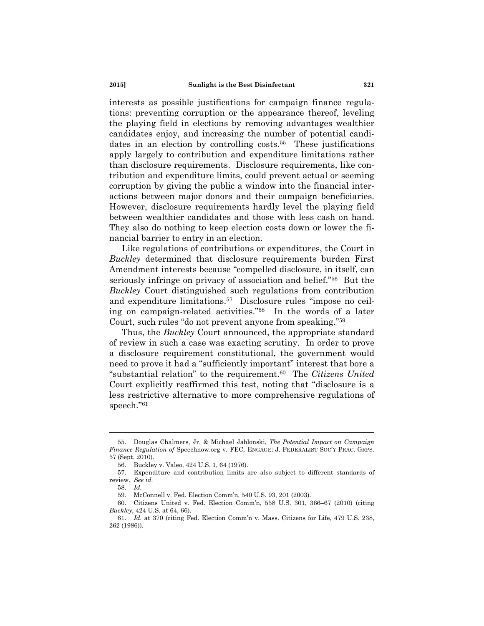interests as possible justifications for campaign finance regulations: preventing corruption or the appearance thereof, leveling the playing field in elections by removing advantages wealthier candidates enjoy, and increasing the number of potential candidates in an election by controlling costs.<sup>55</sup> These justifications apply largely to contribution and expenditure limitations rather than disclosure requirements. Disclosure requirements, like contribution and expenditure limits, could prevent actual or seeming corruption by giving the public a window into the financial interactions between major donors and their campaign beneficiaries. However, disclosure requirements hardly level the playing field between wealthier candidates and those with less cash on hand. They also do nothing to keep election costs down or lower the financial barrier to entry in an election.

Like regulations of contributions or expenditures, the Court in *Buckley* determined that disclosure requirements burden First Amendment interests because "compelled disclosure, in itself, can seriously infringe on privacy of association and belief."56 But the *Buckley* Court distinguished such regulations from contribution and expenditure limitations.57 Disclosure rules "impose no ceiling on campaign-related activities."58 In the words of a later Court, such rules "do not prevent anyone from speaking."59

Thus, the *Buckley* Court announced, the appropriate standard of review in such a case was exacting scrutiny. In order to prove a disclosure requirement constitutional, the government would need to prove it had a "sufficiently important" interest that bore a "substantial relation" to the requirement.60 The *Citizens United* Court explicitly reaffirmed this test, noting that "disclosure is a less restrictive alternative to more comprehensive regulations of speech."61

 <sup>55.</sup> Douglas Chalmers, Jr. & Michael Jablonski, *The Potential Impact on Campaign Finance Regulation of* Speechnow.org v. FEC, ENGAGE: J. FEDERALIST SOC'Y PRAC. GRPS. 57 (Sept. 2010).

 <sup>56.</sup> Buckley v. Valeo, 424 U.S. 1, 64 (1976).

 <sup>57.</sup> Expenditure and contribution limits are also subject to different standards of review. *See id.*

<sup>58.</sup> *Id.*

 <sup>59.</sup> McConnell v. Fed. Election Comm'n, 540 U.S. 93, 201 (2003).

 <sup>60.</sup> Citizens United v. Fed. Election Comm'n, 558 U.S. 301, 366–67 (2010) (citing *Buckley*, 424 U.S. at 64, 66).

<sup>61.</sup> *Id.* at 370 (citing Fed. Election Comm'n v. Mass. Citizens for Life, 479 U.S. 238, 262 (1986)).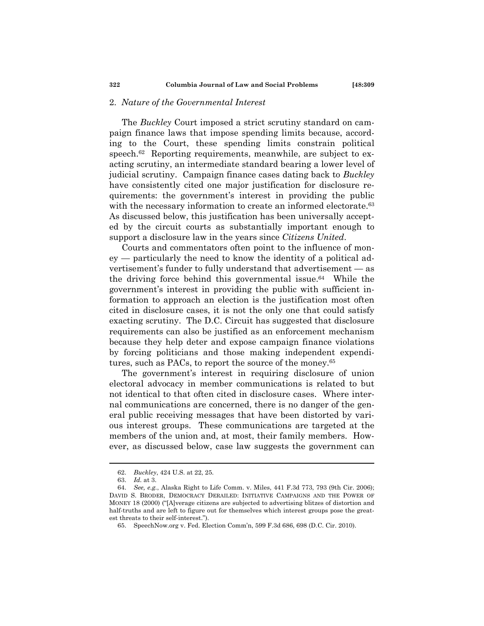#### 2. *Nature of the Governmental Interest*

The *Buckley* Court imposed a strict scrutiny standard on campaign finance laws that impose spending limits because, according to the Court, these spending limits constrain political speech.<sup>62</sup> Reporting requirements, meanwhile, are subject to exacting scrutiny, an intermediate standard bearing a lower level of judicial scrutiny. Campaign finance cases dating back to *Buckley* have consistently cited one major justification for disclosure requirements: the government's interest in providing the public with the necessary information to create an informed electorate.<sup>63</sup> As discussed below, this justification has been universally accepted by the circuit courts as substantially important enough to support a disclosure law in the years since *Citizens United*.

Courts and commentators often point to the influence of money — particularly the need to know the identity of a political advertisement's funder to fully understand that advertisement — as the driving force behind this governmental issue.64 While the government's interest in providing the public with sufficient information to approach an election is the justification most often cited in disclosure cases, it is not the only one that could satisfy exacting scrutiny. The D.C. Circuit has suggested that disclosure requirements can also be justified as an enforcement mechanism because they help deter and expose campaign finance violations by forcing politicians and those making independent expenditures, such as PACs, to report the source of the money.65

The government's interest in requiring disclosure of union electoral advocacy in member communications is related to but not identical to that often cited in disclosure cases. Where internal communications are concerned, there is no danger of the general public receiving messages that have been distorted by various interest groups. These communications are targeted at the members of the union and, at most, their family members. However, as discussed below, case law suggests the government can

<sup>62.</sup> *Buckley*, 424 U.S. at 22, 25.

<sup>63.</sup> *Id.* at 3.

<sup>64.</sup> *See, e.g.*, Alaska Right to Life Comm. v. Miles, 441 F.3d 773, 793 (9th Cir. 2006); DAVID S. BRODER, DEMOCRACY DERAILED: INITIATIVE CAMPAIGNS AND THE POWER OF MONEY 18 (2000) ("[A]verage citizens are subjected to advertising blitzes of distortion and half-truths and are left to figure out for themselves which interest groups pose the greatest threats to their self-interest.").

 <sup>65.</sup> SpeechNow.org v. Fed. Election Comm'n, 599 F.3d 686, 698 (D.C. Cir. 2010).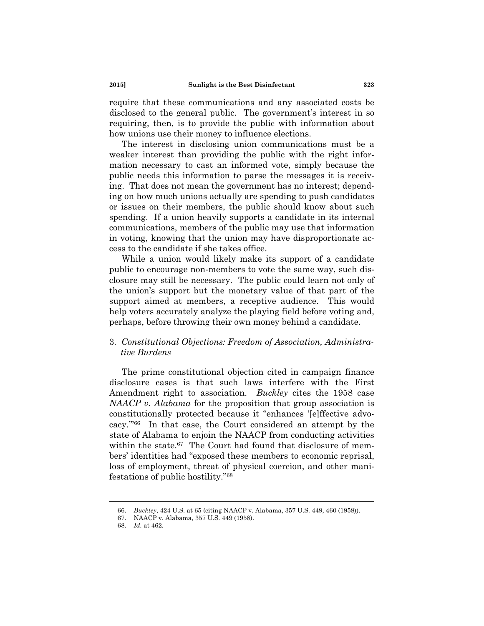require that these communications and any associated costs be disclosed to the general public. The government's interest in so requiring, then, is to provide the public with information about how unions use their money to influence elections.

The interest in disclosing union communications must be a weaker interest than providing the public with the right information necessary to cast an informed vote, simply because the public needs this information to parse the messages it is receiving. That does not mean the government has no interest; depending on how much unions actually are spending to push candidates or issues on their members, the public should know about such spending. If a union heavily supports a candidate in its internal communications, members of the public may use that information in voting, knowing that the union may have disproportionate access to the candidate if she takes office.

While a union would likely make its support of a candidate public to encourage non-members to vote the same way, such disclosure may still be necessary. The public could learn not only of the union's support but the monetary value of that part of the support aimed at members, a receptive audience. This would help voters accurately analyze the playing field before voting and, perhaps, before throwing their own money behind a candidate.

## 3. *Constitutional Objections: Freedom of Association, Administrative Burdens*

The prime constitutional objection cited in campaign finance disclosure cases is that such laws interfere with the First Amendment right to association. *Buckley* cites the 1958 case *NAACP v. Alabama* for the proposition that group association is constitutionally protected because it "enhances '[e]ffective advocacy.'"66 In that case, the Court considered an attempt by the state of Alabama to enjoin the NAACP from conducting activities within the state.<sup>67</sup> The Court had found that disclosure of members' identities had "exposed these members to economic reprisal, loss of employment, threat of physical coercion, and other manifestations of public hostility."68

<sup>66.</sup> *Buckley*, 424 U.S. at 65 (citing NAACP v. Alabama, 357 U.S. 449, 460 (1958)).

 <sup>67.</sup> NAACP v. Alabama, 357 U.S. 449 (1958).

<sup>68.</sup> *Id.* at 462.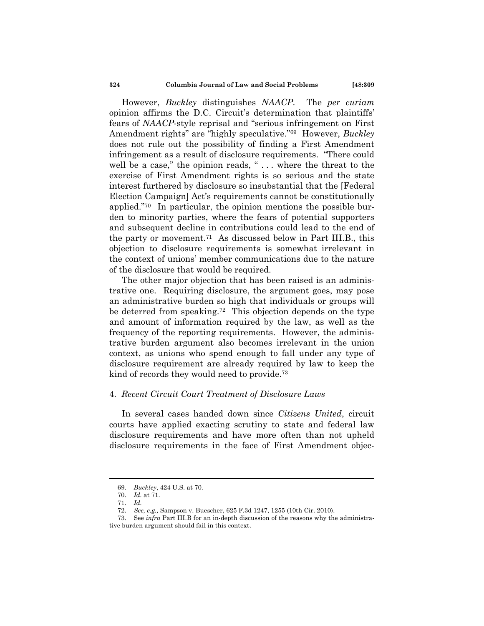However, *Buckley* distinguishes *NAACP*. The *per curiam*  opinion affirms the D.C. Circuit's determination that plaintiffs' fears of *NAACP*-style reprisal and "serious infringement on First Amendment rights" are "highly speculative."69 However, *Buckley* does not rule out the possibility of finding a First Amendment infringement as a result of disclosure requirements. "There could well be a case," the opinion reads, "... where the threat to the exercise of First Amendment rights is so serious and the state interest furthered by disclosure so insubstantial that the [Federal Election Campaign] Act's requirements cannot be constitutionally applied."70 In particular, the opinion mentions the possible burden to minority parties, where the fears of potential supporters and subsequent decline in contributions could lead to the end of the party or movement.71 As discussed below in Part III.B., this objection to disclosure requirements is somewhat irrelevant in the context of unions' member communications due to the nature of the disclosure that would be required.

The other major objection that has been raised is an administrative one. Requiring disclosure, the argument goes, may pose an administrative burden so high that individuals or groups will be deterred from speaking.72 This objection depends on the type and amount of information required by the law, as well as the frequency of the reporting requirements. However, the administrative burden argument also becomes irrelevant in the union context, as unions who spend enough to fall under any type of disclosure requirement are already required by law to keep the kind of records they would need to provide.73

## 4. *Recent Circuit Court Treatment of Disclosure Laws*

In several cases handed down since *Citizens United*, circuit courts have applied exacting scrutiny to state and federal law disclosure requirements and have more often than not upheld disclosure requirements in the face of First Amendment objec-

<sup>69.</sup> *Buckley*, 424 U.S. at 70.

<sup>70.</sup> *Id.* at 71.

<sup>71.</sup> *Id.* 

<sup>72.</sup> *See, e.g.,* Sampson v. Buescher, 625 F.3d 1247, 1255 (10th Cir. 2010).

 <sup>73.</sup> See *infra* Part III.B for an in-depth discussion of the reasons why the administrative burden argument should fail in this context.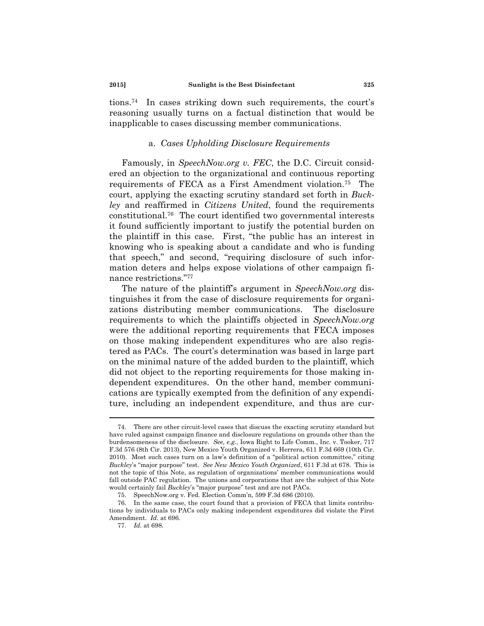tions.74 In cases striking down such requirements, the court's reasoning usually turns on a factual distinction that would be inapplicable to cases discussing member communications.

## a. *Cases Upholding Disclosure Requirements*

Famously, in *SpeechNow.org v. FEC*, the D.C. Circuit considered an objection to the organizational and continuous reporting requirements of FECA as a First Amendment violation.75 The court, applying the exacting scrutiny standard set forth in *Buckley* and reaffirmed in *Citizens United*, found the requirements constitutional.76 The court identified two governmental interests it found sufficiently important to justify the potential burden on the plaintiff in this case. First, "the public has an interest in knowing who is speaking about a candidate and who is funding that speech," and second, "requiring disclosure of such information deters and helps expose violations of other campaign finance restrictions."77

The nature of the plaintiff's argument in *SpeechNow.org* distinguishes it from the case of disclosure requirements for organizations distributing member communications. The disclosure requirements to which the plaintiffs objected in *SpeechNow.org* were the additional reporting requirements that FECA imposes on those making independent expenditures who are also registered as PACs. The court's determination was based in large part on the minimal nature of the added burden to the plaintiff, which did not object to the reporting requirements for those making independent expenditures. On the other hand, member communications are typically exempted from the definition of any expenditure, including an independent expenditure, and thus are cur-

 <sup>74.</sup> There are other circuit-level cases that discuss the exacting scrutiny standard but have ruled against campaign finance and disclosure regulations on grounds other than the burdensomeness of the disclosure. *See, e.g.*, Iowa Right to Life Comm., Inc. v. Tooker, 717 F.3d 576 (8th Cir. 2013), New Mexico Youth Organized v. Herrera, 611 F.3d 669 (10th Cir. 2010). Most such cases turn on a law's definition of a "political action committee," citing *Buckley*'s "major purpose" test. *See New Mexico Youth Organized*, 611 F.3d at 678. This is not the topic of this Note, as regulation of organizations' member communications would fall outside PAC regulation. The unions and corporations that are the subject of this Note would certainly fail *Buckley*'s "major purpose" test and are not PACs.

 <sup>75.</sup> SpeechNow.org v. Fed. Election Comm'n, 599 F.3d 686 (2010).

 <sup>76.</sup> In the same case, the court found that a provision of FECA that limits contributions by individuals to PACs only making independent expenditures did violate the First Amendment. *Id.* at 696.

<sup>77.</sup> *Id.* at 698.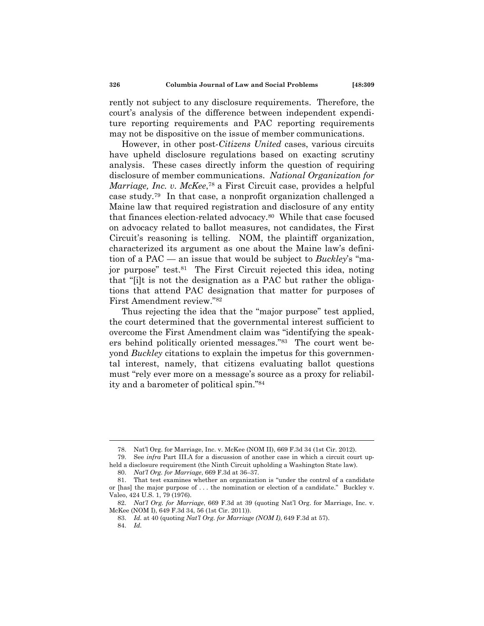rently not subject to any disclosure requirements. Therefore, the court's analysis of the difference between independent expenditure reporting requirements and PAC reporting requirements may not be dispositive on the issue of member communications.

However, in other post-*Citizens United* cases, various circuits have upheld disclosure regulations based on exacting scrutiny analysis. These cases directly inform the question of requiring disclosure of member communications. *National Organization for Marriage, Inc. v. McKee*,78 a First Circuit case, provides a helpful case study.79 In that case, a nonprofit organization challenged a Maine law that required registration and disclosure of any entity that finances election-related advocacy.80 While that case focused on advocacy related to ballot measures, not candidates, the First Circuit's reasoning is telling. NOM, the plaintiff organization, characterized its argument as one about the Maine law's definition of a PAC — an issue that would be subject to *Buckley*'s "major purpose" test.<sup>81</sup> The First Circuit rejected this idea, noting that "[i]t is not the designation as a PAC but rather the obligations that attend PAC designation that matter for purposes of First Amendment review."82

Thus rejecting the idea that the "major purpose" test applied, the court determined that the governmental interest sufficient to overcome the First Amendment claim was "identifying the speakers behind politically oriented messages."83 The court went beyond *Buckley* citations to explain the impetus for this governmental interest, namely, that citizens evaluating ballot questions must "rely ever more on a message's source as a proxy for reliability and a barometer of political spin."84

 <sup>78.</sup> Nat'l Org. for Marriage, Inc. v. McKee (NOM II), 669 F.3d 34 (1st Cir. 2012).

 <sup>79.</sup> See *infra* Part III.A for a discussion of another case in which a circuit court upheld a disclosure requirement (the Ninth Circuit upholding a Washington State law).

<sup>80.</sup> *Nat'l Org. for Marriage*, 669 F.3d at 36–37.

 <sup>81.</sup> That test examines whether an organization is "under the control of a candidate or [has] the major purpose of . . . the nomination or election of a candidate." Buckley v. Valeo, 424 U.S. 1, 79 (1976).

<sup>82.</sup> *Nat'l Org. for Marriage*, 669 F.3d at 39 (quoting Nat'l Org. for Marriage, Inc. v. McKee (NOM I), 649 F.3d 34, 56 (1st Cir. 2011)).

<sup>83.</sup> *Id.* at 40 (quoting *Nat'l Org. for Marriage (NOM I)*, 649 F.3d at 57).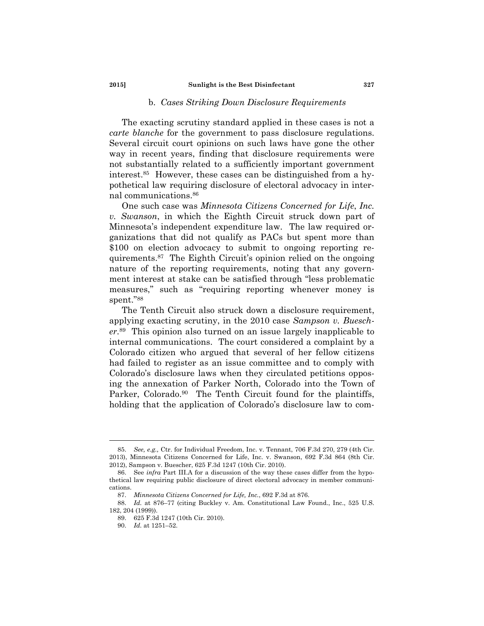#### b. *Cases Striking Down Disclosure Requirements*

The exacting scrutiny standard applied in these cases is not a *carte blanche* for the government to pass disclosure regulations. Several circuit court opinions on such laws have gone the other way in recent years, finding that disclosure requirements were not substantially related to a sufficiently important government interest.85 However, these cases can be distinguished from a hypothetical law requiring disclosure of electoral advocacy in internal communications.86

One such case was *Minnesota Citizens Concerned for Life*, *Inc. v. Swanson*, in which the Eighth Circuit struck down part of Minnesota's independent expenditure law. The law required organizations that did not qualify as PACs but spent more than \$100 on election advocacy to submit to ongoing reporting requirements.87 The Eighth Circuit's opinion relied on the ongoing nature of the reporting requirements, noting that any government interest at stake can be satisfied through "less problematic measures," such as "requiring reporting whenever money is spent."88

The Tenth Circuit also struck down a disclosure requirement, applying exacting scrutiny, in the 2010 case *Sampson v. Buescher*.89 This opinion also turned on an issue largely inapplicable to internal communications. The court considered a complaint by a Colorado citizen who argued that several of her fellow citizens had failed to register as an issue committee and to comply with Colorado's disclosure laws when they circulated petitions opposing the annexation of Parker North, Colorado into the Town of Parker, Colorado.<sup>90</sup> The Tenth Circuit found for the plaintiffs, holding that the application of Colorado's disclosure law to com-

<sup>85.</sup> *See, e.g.,* Ctr. for Individual Freedom, Inc. v. Tennant, 706 F.3d 270, 279 (4th Cir. 2013), Minnesota Citizens Concerned for Life, Inc. v. Swanson, 692 F.3d 864 (8th Cir. 2012), Sampson v. Buescher, 625 F.3d 1247 (10th Cir. 2010).

 <sup>86.</sup> See *infra* Part III.A for a discussion of the way these cases differ from the hypothetical law requiring public disclosure of direct electoral advocacy in member communications.

<sup>87.</sup> *Minnesota Citizens Concerned for Life, Inc.*, 692 F.3d at 876.

<sup>88.</sup> *Id.* at 876–77 (citing Buckley v. Am. Constitutional Law Found., Inc., 525 U.S. 182, 204 (1999)).

 <sup>89. 625</sup> F.3d 1247 (10th Cir. 2010).

<sup>90.</sup> *Id.* at 1251–52.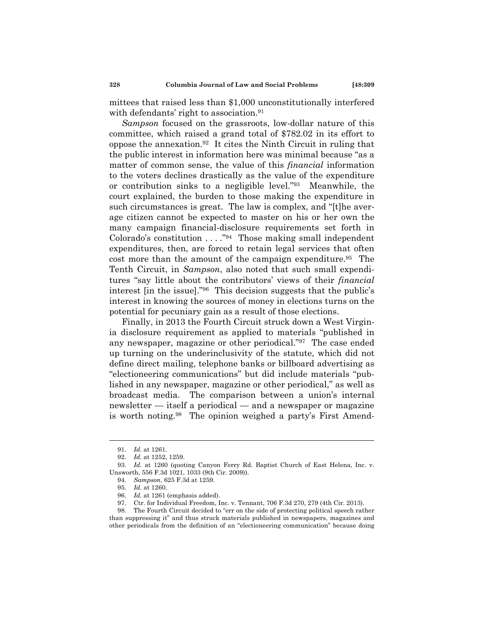mittees that raised less than \$1,000 unconstitutionally interfered with defendants' right to association.<sup>91</sup>

*Sampson* focused on the grassroots, low-dollar nature of this committee, which raised a grand total of \$782.02 in its effort to oppose the annexation.92 It cites the Ninth Circuit in ruling that the public interest in information here was minimal because "as a matter of common sense, the value of this *financial* information to the voters declines drastically as the value of the expenditure or contribution sinks to a negligible level."93 Meanwhile, the court explained, the burden to those making the expenditure in such circumstances is great. The law is complex, and "[t]he average citizen cannot be expected to master on his or her own the many campaign financial-disclosure requirements set forth in Colorado's constitution . . . ."94 Those making small independent expenditures, then, are forced to retain legal services that often cost more than the amount of the campaign expenditure.<sup>95</sup> The Tenth Circuit, in *Sampson*, also noted that such small expenditures "say little about the contributors' views of their *financial* interest [in the issue]."96 This decision suggests that the public's interest in knowing the sources of money in elections turns on the potential for pecuniary gain as a result of those elections.

Finally, in 2013 the Fourth Circuit struck down a West Virginia disclosure requirement as applied to materials "published in any newspaper, magazine or other periodical."97 The case ended up turning on the underinclusivity of the statute, which did not define direct mailing, telephone banks or billboard advertising as "electioneering communications" but did include materials "published in any newspaper, magazine or other periodical," as well as broadcast media. The comparison between a union's internal newsletter — itself a periodical — and a newspaper or magazine is worth noting.98 The opinion weighed a party's First Amend-

 98. The Fourth Circuit decided to "err on the side of protecting political speech rather than suppressing it" and thus struck materials published in newspapers, magazines and other periodicals from the definition of an "electioneering communication" because doing

<sup>91.</sup> *Id.* at 1261.

<sup>92.</sup> *Id.* at 1252, 1259.

<sup>93.</sup> *Id.* at 1260 (quoting Canyon Ferry Rd. Baptist Church of East Helena, Inc. v. Unsworth, 556 F.3d 1021, 1033 (9th Cir. 2009)).

<sup>94.</sup> *Sampson*, 625 F.3d at 1259.

<sup>95.</sup> *Id.* at 1260.

<sup>96.</sup> *Id.* at 1261 (emphasis added).

 <sup>97.</sup> Ctr. for Individual Freedom, Inc. v. Tennant, 706 F.3d 270, 279 (4th Cir. 2013).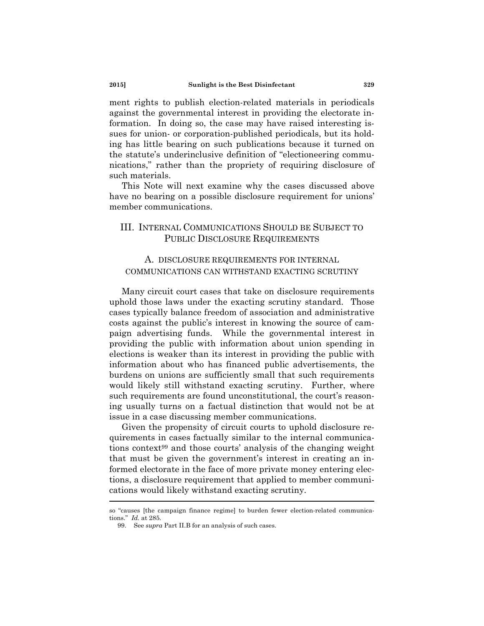ment rights to publish election-related materials in periodicals against the governmental interest in providing the electorate information. In doing so, the case may have raised interesting issues for union- or corporation-published periodicals, but its holding has little bearing on such publications because it turned on the statute's underinclusive definition of "electioneering communications," rather than the propriety of requiring disclosure of such materials.

This Note will next examine why the cases discussed above have no bearing on a possible disclosure requirement for unions' member communications.

# III. INTERNAL COMMUNICATIONS SHOULD BE SUBJECT TO PUBLIC DISCLOSURE REQUIREMENTS

# A. DISCLOSURE REQUIREMENTS FOR INTERNAL COMMUNICATIONS CAN WITHSTAND EXACTING SCRUTINY

Many circuit court cases that take on disclosure requirements uphold those laws under the exacting scrutiny standard. Those cases typically balance freedom of association and administrative costs against the public's interest in knowing the source of campaign advertising funds. While the governmental interest in providing the public with information about union spending in elections is weaker than its interest in providing the public with information about who has financed public advertisements, the burdens on unions are sufficiently small that such requirements would likely still withstand exacting scrutiny. Further, where such requirements are found unconstitutional, the court's reasoning usually turns on a factual distinction that would not be at issue in a case discussing member communications.

Given the propensity of circuit courts to uphold disclosure requirements in cases factually similar to the internal communications context99 and those courts' analysis of the changing weight that must be given the government's interest in creating an informed electorate in the face of more private money entering elections, a disclosure requirement that applied to member communications would likely withstand exacting scrutiny.

so "causes [the campaign finance regime] to burden fewer election-related communications." *Id.* at 285.

 <sup>99.</sup> See *supra* Part II.B for an analysis of such cases.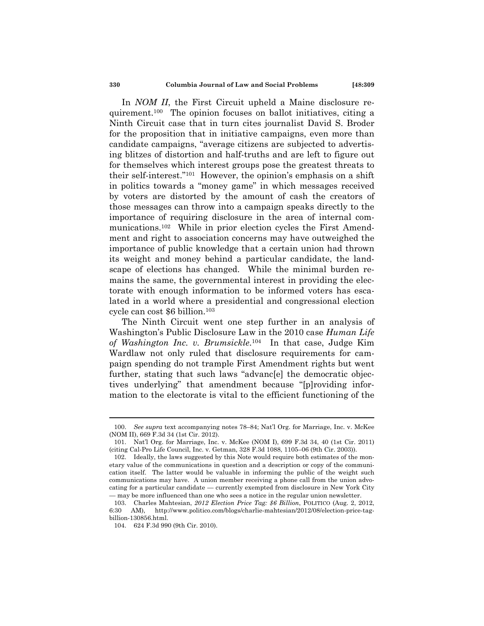In *NOM II*, the First Circuit upheld a Maine disclosure requirement.100 The opinion focuses on ballot initiatives, citing a Ninth Circuit case that in turn cites journalist David S. Broder for the proposition that in initiative campaigns, even more than candidate campaigns, "average citizens are subjected to advertising blitzes of distortion and half-truths and are left to figure out for themselves which interest groups pose the greatest threats to their self-interest."101 However, the opinion's emphasis on a shift in politics towards a "money game" in which messages received by voters are distorted by the amount of cash the creators of those messages can throw into a campaign speaks directly to the importance of requiring disclosure in the area of internal communications.102 While in prior election cycles the First Amendment and right to association concerns may have outweighed the importance of public knowledge that a certain union had thrown its weight and money behind a particular candidate, the landscape of elections has changed. While the minimal burden remains the same, the governmental interest in providing the electorate with enough information to be informed voters has escalated in a world where a presidential and congressional election cycle can cost \$6 billion.103

The Ninth Circuit went one step further in an analysis of Washington's Public Disclosure Law in the 2010 case *Human Life of Washington Inc. v. Brumsickle*.104 In that case, Judge Kim Wardlaw not only ruled that disclosure requirements for campaign spending do not trample First Amendment rights but went further, stating that such laws "advancell the democratic objectives underlying" that amendment because "[p]roviding information to the electorate is vital to the efficient functioning of the

<sup>100.</sup> *See supra* text accompanying notes 78–84; Nat'l Org. for Marriage, Inc. v. McKee (NOM II), 669 F.3d 34 (1st Cir. 2012).

 <sup>101.</sup> Nat'l Org. for Marriage, Inc. v. McKee (NOM I), 699 F.3d 34, 40 (1st Cir. 2011) (citing Cal-Pro Life Council, Inc. v. Getman, 328 F.3d 1088, 1105–06 (9th Cir. 2003)).

 <sup>102.</sup> Ideally, the laws suggested by this Note would require both estimates of the monetary value of the communications in question and a description or copy of the communication itself. The latter would be valuable in informing the public of the weight such communications may have. A union member receiving a phone call from the union advocating for a particular candidate — currently exempted from disclosure in New York City — may be more influenced than one who sees a notice in the regular union newsletter.

 <sup>103.</sup> Charles Mahtesian, *2012 Election Price Tag: \$6 Billion*, POLITICO (Aug. 2, 2012, 6:30 AM), http://www.politico.com/blogs/charlie-mahtesian/2012/08/election-price-tagbillion-130856.html.

 <sup>104. 624</sup> F.3d 990 (9th Cir. 2010).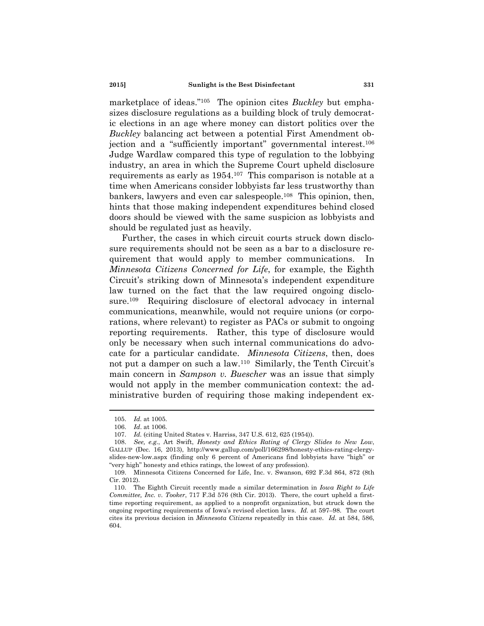marketplace of ideas."105 The opinion cites *Buckley* but emphasizes disclosure regulations as a building block of truly democratic elections in an age where money can distort politics over the *Buckley* balancing act between a potential First Amendment objection and a "sufficiently important" governmental interest.<sup>106</sup> Judge Wardlaw compared this type of regulation to the lobbying industry, an area in which the Supreme Court upheld disclosure requirements as early as 1954.107 This comparison is notable at a time when Americans consider lobbyists far less trustworthy than bankers, lawyers and even car salespeople.108 This opinion, then, hints that those making independent expenditures behind closed doors should be viewed with the same suspicion as lobbyists and should be regulated just as heavily.

Further, the cases in which circuit courts struck down disclosure requirements should not be seen as a bar to a disclosure requirement that would apply to member communications. In *Minnesota Citizens Concerned for Life*, for example, the Eighth Circuit's striking down of Minnesota's independent expenditure law turned on the fact that the law required ongoing disclosure.109 Requiring disclosure of electoral advocacy in internal communications, meanwhile, would not require unions (or corporations, where relevant) to register as PACs or submit to ongoing reporting requirements. Rather, this type of disclosure would only be necessary when such internal communications do advocate for a particular candidate. *Minnesota Citizens*, then, does not put a damper on such a law.110 Similarly, the Tenth Circuit's main concern in *Sampson v. Buescher* was an issue that simply would not apply in the member communication context: the administrative burden of requiring those making independent ex-

<sup>105.</sup> *Id.* at 1005.

<sup>106.</sup> *Id*. at 1006.

<sup>107.</sup> *Id.* (citing United States v. Harriss, 347 U.S. 612, 625 (1954)).

<sup>108.</sup> *See, e.g.*, Art Swift, *Honesty and Ethics Rating of Clergy Slides to New Low*, GALLUP (Dec. 16, 2013), http://www.gallup.com/poll/166298/honesty-ethics-rating-clergyslides-new-low.aspx (finding only 6 percent of Americans find lobbyists have "high" or "very high" honesty and ethics ratings, the lowest of any profession).

 <sup>109.</sup> Minnesota Citizens Concerned for Life, Inc. v. Swanson, 692 F.3d 864, 872 (8th Cir. 2012).

 <sup>110.</sup> The Eighth Circuit recently made a similar determination in *Iowa Right to Life Committee, Inc. v. Tooker*, 717 F.3d 576 (8th Cir. 2013). There, the court upheld a firsttime reporting requirement, as applied to a nonprofit organization, but struck down the ongoing reporting requirements of Iowa's revised election laws. *Id.* at 597–98. The court cites its previous decision in *Minnesota Citizens* repeatedly in this case. *Id.* at 584, 586, 604.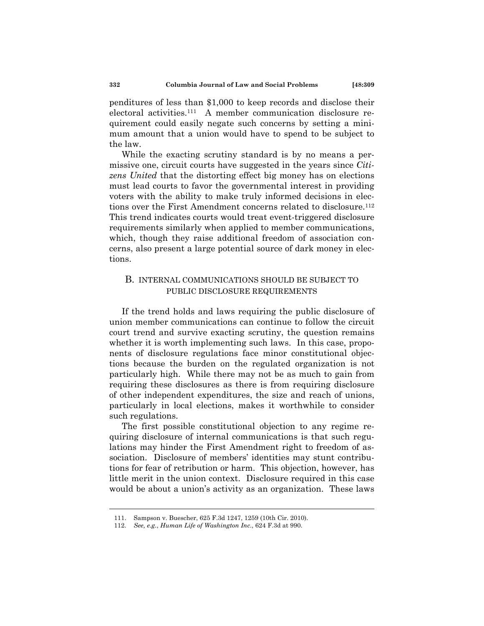penditures of less than \$1,000 to keep records and disclose their electoral activities.111 A member communication disclosure requirement could easily negate such concerns by setting a minimum amount that a union would have to spend to be subject to the law.

While the exacting scrutiny standard is by no means a permissive one, circuit courts have suggested in the years since *Citizens United* that the distorting effect big money has on elections must lead courts to favor the governmental interest in providing voters with the ability to make truly informed decisions in elections over the First Amendment concerns related to disclosure.<sup>112</sup> This trend indicates courts would treat event-triggered disclosure requirements similarly when applied to member communications, which, though they raise additional freedom of association concerns, also present a large potential source of dark money in elections.

## B. INTERNAL COMMUNICATIONS SHOULD BE SUBJECT TO PUBLIC DISCLOSURE REQUIREMENTS

If the trend holds and laws requiring the public disclosure of union member communications can continue to follow the circuit court trend and survive exacting scrutiny, the question remains whether it is worth implementing such laws. In this case, proponents of disclosure regulations face minor constitutional objections because the burden on the regulated organization is not particularly high. While there may not be as much to gain from requiring these disclosures as there is from requiring disclosure of other independent expenditures, the size and reach of unions, particularly in local elections, makes it worthwhile to consider such regulations.

The first possible constitutional objection to any regime requiring disclosure of internal communications is that such regulations may hinder the First Amendment right to freedom of association. Disclosure of members' identities may stunt contributions for fear of retribution or harm. This objection, however, has little merit in the union context. Disclosure required in this case would be about a union's activity as an organization. These laws

 <sup>111.</sup> Sampson v. Buescher, 625 F.3d 1247, 1259 (10th Cir. 2010).

<sup>112.</sup> *See, e.g.*, *Human Life of Washington Inc*., 624 F.3d at 990.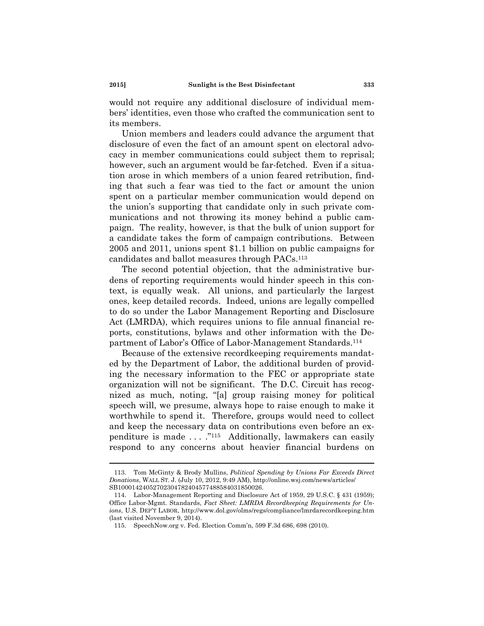would not require any additional disclosure of individual members' identities, even those who crafted the communication sent to its members.

Union members and leaders could advance the argument that disclosure of even the fact of an amount spent on electoral advocacy in member communications could subject them to reprisal; however, such an argument would be far-fetched. Even if a situation arose in which members of a union feared retribution, finding that such a fear was tied to the fact or amount the union spent on a particular member communication would depend on the union's supporting that candidate only in such private communications and not throwing its money behind a public campaign. The reality, however, is that the bulk of union support for a candidate takes the form of campaign contributions. Between 2005 and 2011, unions spent \$1.1 billion on public campaigns for candidates and ballot measures through PACs.113

The second potential objection, that the administrative burdens of reporting requirements would hinder speech in this context, is equally weak. All unions, and particularly the largest ones, keep detailed records. Indeed, unions are legally compelled to do so under the Labor Management Reporting and Disclosure Act (LMRDA), which requires unions to file annual financial reports, constitutions, bylaws and other information with the Department of Labor's Office of Labor-Management Standards.114

Because of the extensive recordkeeping requirements mandated by the Department of Labor, the additional burden of providing the necessary information to the FEC or appropriate state organization will not be significant. The D.C. Circuit has recognized as much, noting, "[a] group raising money for political speech will, we presume, always hope to raise enough to make it worthwhile to spend it. Therefore, groups would need to collect and keep the necessary data on contributions even before an expenditure is made . . . ."115 Additionally, lawmakers can easily respond to any concerns about heavier financial burdens on

 <sup>113.</sup> Tom McGinty & Brody Mullins, *Political Spending by Unions Far Exceeds Direct Donations*, WALL ST. J. (July 10, 2012, 9:49 AM), http://online.wsj.com/news/articles/ SB10001424052702304782404577488584031850026.

 <sup>114.</sup> Labor-Management Reporting and Disclosure Act of 1959, 29 U.S.C. § 431 (1959); Office Labor-Mgmt. Standards, *Fact Sheet: LMRDA Recordkeeping Requirements for Unions*, U.S. DEP'T LABOR, http://www.dol.gov/olms/regs/compliance/lmrdarecordkeeping.htm (last visited November 9, 2014).

 <sup>115.</sup> SpeechNow.org v. Fed. Election Comm'n, 599 F.3d 686, 698 (2010).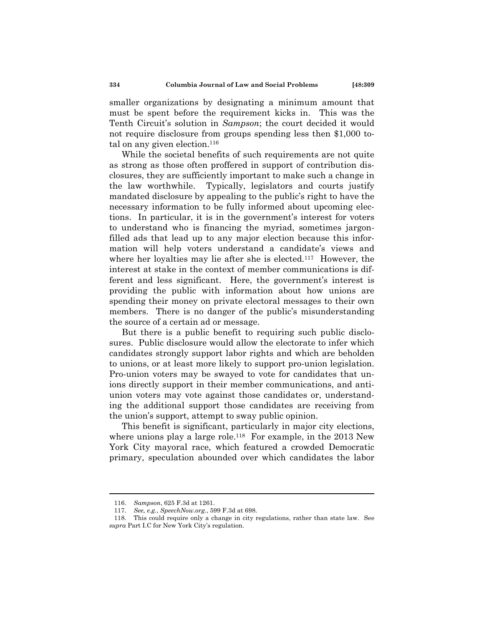smaller organizations by designating a minimum amount that must be spent before the requirement kicks in. This was the Tenth Circuit's solution in *Sampson*; the court decided it would not require disclosure from groups spending less then \$1,000 total on any given election. $116$ 

While the societal benefits of such requirements are not quite as strong as those often proffered in support of contribution disclosures, they are sufficiently important to make such a change in the law worthwhile. Typically, legislators and courts justify mandated disclosure by appealing to the public's right to have the necessary information to be fully informed about upcoming elections. In particular, it is in the government's interest for voters to understand who is financing the myriad, sometimes jargonfilled ads that lead up to any major election because this information will help voters understand a candidate's views and where her loyalties may lie after she is elected.<sup>117</sup> However, the interest at stake in the context of member communications is different and less significant. Here, the government's interest is providing the public with information about how unions are spending their money on private electoral messages to their own members. There is no danger of the public's misunderstanding the source of a certain ad or message.

But there is a public benefit to requiring such public disclosures. Public disclosure would allow the electorate to infer which candidates strongly support labor rights and which are beholden to unions, or at least more likely to support pro-union legislation. Pro-union voters may be swayed to vote for candidates that unions directly support in their member communications, and antiunion voters may vote against those candidates or, understanding the additional support those candidates are receiving from the union's support, attempt to sway public opinion.

This benefit is significant, particularly in major city elections, where unions play a large role.<sup>118</sup> For example, in the  $2013$  New York City mayoral race, which featured a crowded Democratic primary, speculation abounded over which candidates the labor

<sup>116.</sup> *Sampson*, 625 F.3d at 1261.

<sup>117.</sup> *See, e.g.*, *SpeechNow.org.*, 599 F.3d at 698.

 <sup>118.</sup> This could require only a change in city regulations, rather than state law. See *supra* Part I.C for New York City's regulation.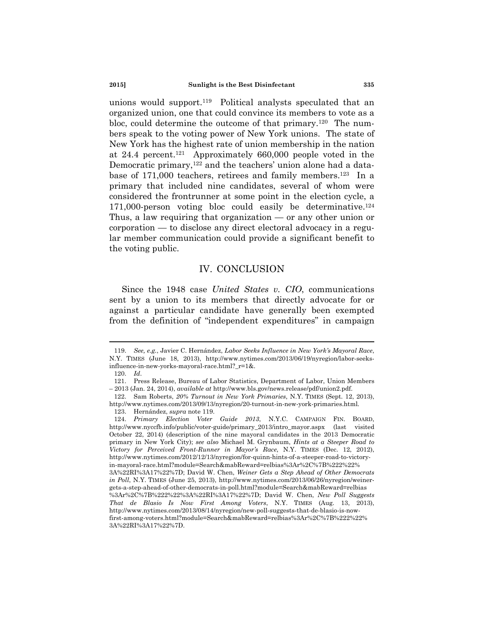unions would support.119 Political analysts speculated that an organized union, one that could convince its members to vote as a bloc, could determine the outcome of that primary.120 The numbers speak to the voting power of New York unions. The state of New York has the highest rate of union membership in the nation at 24.4 percent.121 Approximately 660,000 people voted in the Democratic primary,<sup>122</sup> and the teachers' union alone had a database of 171,000 teachers, retirees and family members.<sup>123</sup> In a primary that included nine candidates, several of whom were considered the frontrunner at some point in the election cycle, a 171,000-person voting bloc could easily be determinative.<sup>124</sup> Thus, a law requiring that organization — or any other union or corporation — to disclose any direct electoral advocacy in a regular member communication could provide a significant benefit to the voting public.

## IV. CONCLUSION

Since the 1948 case *United States v. CIO*, communications sent by a union to its members that directly advocate for or against a particular candidate have generally been exempted from the definition of "independent expenditures" in campaign

<sup>119.</sup> *See, e.g.*, Javier C. Hernández, *Labor Seeks Influence in New York's Mayoral Race*, N.Y. TIMES (June 18, 2013), http://www.nytimes.com/2013/06/19/nyregion/labor-seeksinfluence-in-new-yorks-mayoral-race.html?\_r=1&.

<sup>120.</sup> *Id*.

 <sup>121.</sup> Press Release, Bureau of Labor Statistics, Department of Labor, Union Members – 2013 (Jan. 24, 2014), *available at* http://www.bls.gov/news.release/pdf/union2.pdf.

 <sup>122.</sup> Sam Roberts, *20% Turnout in New York Primaries*, N.Y. TIMES (Sept. 12, 2013), http://www.nytimes.com/2013/09/13/nyregion/20-turnout-in-new-york-primaries.html*.*

 <sup>123.</sup> Hernández, *supra* note 119.

<sup>124.</sup> *Primary Election Voter Guide 2013*, N.Y.C. CAMPAIGN FIN. BOARD, http://www.nyccfb.info/public/voter-guide/primary\_2013/intro\_mayor.aspx (last visited October 22, 2014) (description of the nine mayoral candidates in the 2013 Democratic primary in New York City); *see also* Michael M. Grynbaum, *Hints at a Steeper Road to Victory for Perceived Front-Runner in Mayor's Race*, N.Y. TIMES (Dec. 12, 2012), http://www.nytimes.com/2012/12/13/nyregion/for-quinn-hints-of-a-steeper-road-to-victoryin-mayoral-race.html?module=Search&mabReward=relbias%3Ar%2C%7B%222%22% 3A%22RI%3A17%22%7D; David W. Chen, *Weiner Gets a Step Ahead of Other Democrats in Poll*, N.Y. TIMES (June 25, 2013), http://www.nytimes.com/2013/06/26/nyregion/weinergets-a-step-ahead-of-other-democrats-in-poll.html?module=Search&mabReward=relbias %3Ar%2C%7B%222%22%3A%22RI%3A17%22%7D; David W. Chen, *New Poll Suggests That de Blasio Is Now First Among Voters*, N.Y. TIMES (Aug. 13, 2013), http://www.nytimes.com/2013/08/14/nyregion/new-poll-suggests-that-de-blasio-is-nowfirst-among-voters.html?module=Search&mabReward=relbias%3Ar%2C%7B%222%22% 3A%22RI%3A17%22%7D.